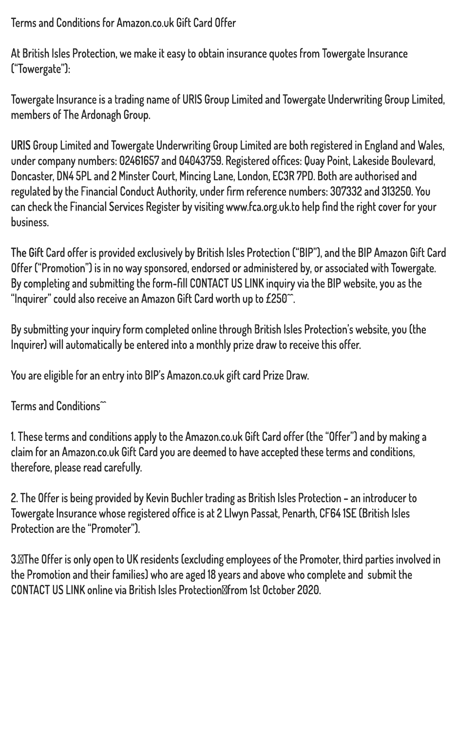**Terms and Conditions for Amazon.co.uk Gift Card Offer**

**At British Isles Protection, we make it easy to obtain insurance quotes from Towergate Insurance ("Towergate"):**

**Towergate Insurance is a trading name of URIS Group Limited and Towergate Underwriting Group Limited, members of The Ardonagh Group.**

**URIS Group Limited and Towergate Underwriting Group Limited are both registered in England and Wales, under company numbers: 02461657 and 04043759. Registered offices: Quay Point, Lakeside Boulevard, Doncaster, DN4 5PL and 2 Minster Court, Mincing Lane, London, EC3R 7PD. Both are authorised and regulated by the Financial Conduct Authority, under firm reference numbers: 307332 and 313250. You can check the Financial Services Register by visiting www.fca.org.uk.to help find the right cover for your business.**

**The Gift Card offer is provided exclusively by British Isles Protection ("BIP"), and the BIP Amazon Gift Card Offer ("Promotion") is in no way sponsored, endorsed or administered by, or associated with Towergate. By completing and submitting the form-fill CONTACT US LINK inquiry via the BIP website, you as the "Inquirer" could also receive an Amazon Gift Card worth up to £250^^.**

**By submitting your inquiry form completed online through British Isles Protection's website, you (the Inquirer) will automatically be entered into a monthly prize draw to receive this offer.**

**You are eligible for an entry into BIP's Amazon.co.uk gift card Prize Draw.**

## **Terms and Conditions^^**

**1. These terms and conditions apply to the Amazon.co.uk Gift Card offer (the "Offer") and by making a claim for an Amazon.co.uk Gift Card you are deemed to have accepted these terms and conditions, therefore, please read carefully.** 

**2. The Offer is being provided by Kevin Buchler trading as British Isles Protection – an introducer to Towergate Insurance whose registered office is at 2 Llwyn Passat, Penarth, CF64 1SE (British Isles Protection are the "Promoter").** 

**3.The Offer is only open to UK residents (excluding employees of the Promoter, third parties involved in the Promotion and their families) who are aged 18 years and above who complete and submit the CONTACT US LINK online via British Isles Protectionfrom 1st October 2020.**